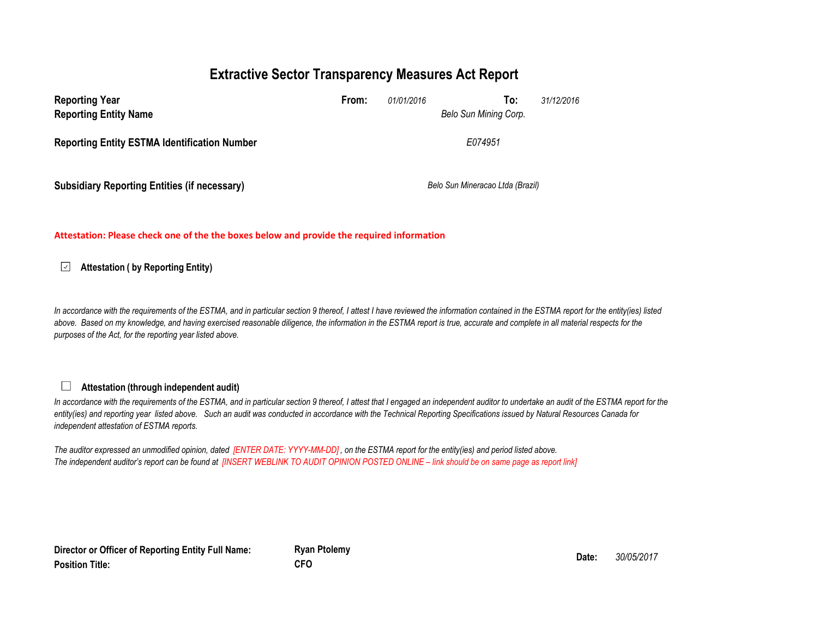### **Extractive Sector Transparency Measures Act Report**

| <b>Reporting Year</b><br><b>Reporting Entity Name</b> | From: | 01/01/2016                       | 31/12/2016<br>To:<br>Belo Sun Mining Corp. |  |
|-------------------------------------------------------|-------|----------------------------------|--------------------------------------------|--|
| <b>Reporting Entity ESTMA Identification Number</b>   |       |                                  | E074951                                    |  |
| <b>Subsidiary Reporting Entities (if necessary)</b>   |       | Belo Sun Mineracao Ltda (Brazil) |                                            |  |

#### **Attestation: Please check one of the the boxes below and provide the required information**

#### **Attestation ( by Reporting Entity)**  $\sqrt{2}$

In accordance with the requirements of the ESTMA, and in particular section 9 thereof, I attest I have reviewed the information contained in the ESTMA report for the entity(ies) listed above. Based on my knowledge, and having exercised reasonable diligence, the information in the ESTMA report is true, accurate and complete in all material respects for the *purposes of the Act, for the reporting year listed above.* 

### **Attestation (through independent audit)**

 $\Box$ 

In accordance with the requirements of the ESTMA, and in particular section 9 thereof, I attest that I engaged an independent auditor to undertake an audit of the ESTMA report for the *entity(ies) and reporting year listed above. Such an audit was conducted in accordance with the Technical Reporting Specifications issued by Natural Resources Canada for independent attestation of ESTMA reports.* 

*The auditor expressed an unmodified opinion, dated [ENTER DATE: YYYY-MM-DD] , on the ESTMA report for the entity(ies) and period listed above. The independent auditor's report can be found at [INSERT WEBLINK TO AUDIT OPINION POSTED ONLINE – link should be on same page as report link]* 

**Director or Officer of Reporting Entity Full Name: Position Title:**

**Ryan Ptolemy Date:** *30/05/2017* **CFO**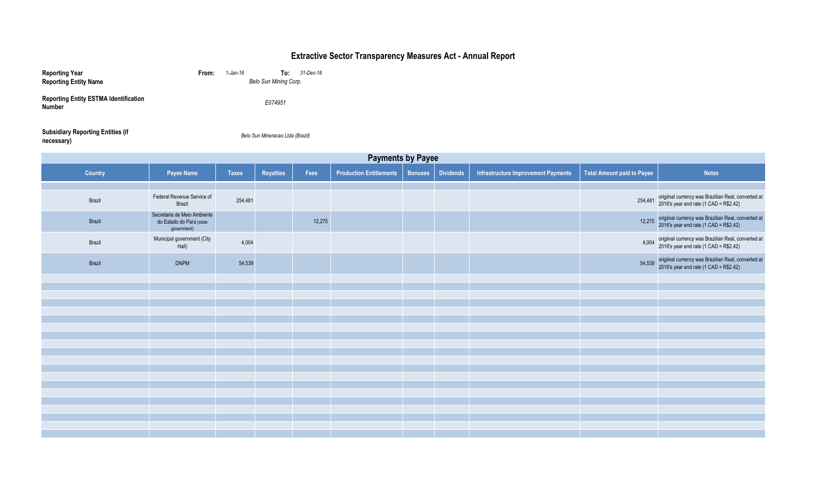| <b>Reporting Year</b><br><b>Reporting Entity Name</b>         | From:                                                                  | 1-Jan-16     | To:<br>Belo Sun Mining Corp.     | 31-Dec-16 |                                |                |                  |                                     |                                   |                                                                |
|---------------------------------------------------------------|------------------------------------------------------------------------|--------------|----------------------------------|-----------|--------------------------------|----------------|------------------|-------------------------------------|-----------------------------------|----------------------------------------------------------------|
| <b>Reporting Entity ESTMA Identification</b><br><b>Number</b> |                                                                        |              | E074951                          |           |                                |                |                  |                                     |                                   |                                                                |
| <b>Subsidiary Reporting Entities (if</b><br>necessary)        |                                                                        |              | Belo Sun Mineracao Ltda (Brazil) |           |                                |                |                  |                                     |                                   |                                                                |
|                                                               |                                                                        |              |                                  |           | <b>Payments by Payee</b>       |                |                  |                                     |                                   |                                                                |
| <b>Country</b>                                                | <b>Payee Name</b>                                                      | <b>Taxes</b> | <b>Royalties</b>                 | Fees      | <b>Production Entitlements</b> | <b>Bonuses</b> | <b>Dividends</b> | Infrastructure Improvement Payments | <b>Total Amount paid to Payee</b> | <b>Notes</b>                                                   |
| Brazil                                                        | Federal Revenue Service of<br>Brazil                                   | 254,481      |                                  |           |                                |                |                  |                                     | 254,481                           | origiinal currency was Brazilia<br>2016's year end rate (1 CAD |
| Brazil                                                        | Secretaria de Meio Ambiente<br>do Estado do Pará (state<br>government) |              |                                  | 12,275    |                                |                |                  |                                     | 12,275                            | origiinal currency was Brazili<br>2016's year end rate (1 CAD  |
| Brazil                                                        | Municipal government (City<br>Hall)                                    | 4,004        |                                  |           |                                |                |                  |                                     | 4,004                             | origiinal currency was Brazili<br>2016's year end rate (1 CAD  |
| Brazil                                                        | <b>DNPM</b>                                                            | 54,539       |                                  |           |                                |                |                  |                                     | 54,539                            | origiinal currency was Brazili<br>2016's year end rate (1 CAD  |
|                                                               |                                                                        |              |                                  |           |                                |                |                  |                                     |                                   |                                                                |
|                                                               |                                                                        |              |                                  |           |                                |                |                  |                                     |                                   |                                                                |
|                                                               |                                                                        |              |                                  |           |                                |                |                  |                                     |                                   |                                                                |
|                                                               |                                                                        |              |                                  |           |                                |                |                  |                                     |                                   |                                                                |
|                                                               |                                                                        |              |                                  |           |                                |                |                  |                                     |                                   |                                                                |
|                                                               |                                                                        |              |                                  |           |                                |                |                  |                                     |                                   |                                                                |
|                                                               |                                                                        |              |                                  |           |                                |                |                  |                                     |                                   |                                                                |
|                                                               |                                                                        |              |                                  |           |                                |                |                  |                                     |                                   |                                                                |
|                                                               |                                                                        |              |                                  |           |                                |                |                  |                                     |                                   |                                                                |
|                                                               |                                                                        |              |                                  |           |                                |                |                  |                                     |                                   |                                                                |
|                                                               |                                                                        |              |                                  |           |                                |                |                  |                                     |                                   |                                                                |
|                                                               |                                                                        |              |                                  |           |                                |                |                  |                                     |                                   |                                                                |
|                                                               |                                                                        |              |                                  |           |                                |                |                  |                                     |                                   |                                                                |
|                                                               |                                                                        |              |                                  |           |                                |                |                  |                                     |                                   |                                                                |

| <b><u>Iprovement Payments</u></b> | <b>Total Amount paid to Payee</b> | <b>Notes</b>                                                                                  |
|-----------------------------------|-----------------------------------|-----------------------------------------------------------------------------------------------|
|                                   |                                   |                                                                                               |
|                                   | 254,481                           | origiinal currency was Brazilian Real, converted at<br>2016's year end rate (1 CAD = R\$2.42) |
|                                   | 12,275                            | origiinal currency was Brazilian Real, converted at<br>2016's year end rate (1 CAD = R\$2.42) |
|                                   | 4,004                             | origiinal currency was Brazilian Real, converted at<br>2016's year end rate (1 CAD = R\$2.42) |
|                                   | 54,539                            | origiinal currency was Brazilian Real, converted at<br>2016's year end rate (1 CAD = R\$2.42) |
|                                   |                                   |                                                                                               |
|                                   |                                   |                                                                                               |
|                                   |                                   |                                                                                               |
|                                   |                                   |                                                                                               |
|                                   |                                   |                                                                                               |
|                                   |                                   |                                                                                               |
|                                   |                                   |                                                                                               |
|                                   |                                   |                                                                                               |
|                                   |                                   |                                                                                               |
|                                   |                                   |                                                                                               |
|                                   |                                   |                                                                                               |
|                                   |                                   |                                                                                               |
|                                   |                                   |                                                                                               |
|                                   |                                   |                                                                                               |
|                                   |                                   |                                                                                               |
|                                   |                                   |                                                                                               |
|                                   |                                   |                                                                                               |
|                                   |                                   |                                                                                               |

# **Extractive Sector Transparency Measures Act - Annual Report**